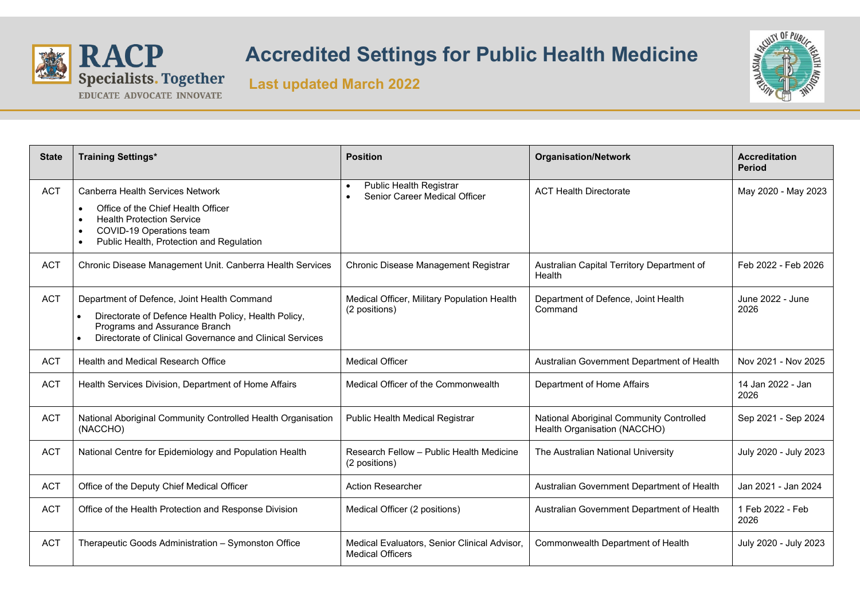

## **RACP** Accredited Settings for Public Health Medicine<br>Specialists. Together Last undated March 2022





| <b>State</b> | <b>Training Settings*</b>                                                                                                                                                | <b>Position</b>                                                                    | <b>Organisation/Network</b>                                              | <b>Accreditation</b><br><b>Period</b> |
|--------------|--------------------------------------------------------------------------------------------------------------------------------------------------------------------------|------------------------------------------------------------------------------------|--------------------------------------------------------------------------|---------------------------------------|
| <b>ACT</b>   | Canberra Health Services Network                                                                                                                                         | Public Health Registrar<br>$\bullet$<br>Senior Career Medical Officer<br>$\bullet$ | <b>ACT Health Directorate</b>                                            | May 2020 - May 2023                   |
|              | Office of the Chief Health Officer<br>$\bullet$<br><b>Health Protection Service</b><br>COVID-19 Operations team<br>$\bullet$<br>Public Health, Protection and Regulation |                                                                                    |                                                                          |                                       |
| <b>ACT</b>   | Chronic Disease Management Unit. Canberra Health Services                                                                                                                | Chronic Disease Management Registrar                                               | Australian Capital Territory Department of<br>Health                     | Feb 2022 - Feb 2026                   |
| <b>ACT</b>   | Department of Defence, Joint Health Command                                                                                                                              | Medical Officer, Military Population Health                                        | Department of Defence, Joint Health                                      | June 2022 - June                      |
|              | Directorate of Defence Health Policy, Health Policy,<br>$\bullet$<br>Programs and Assurance Branch<br>Directorate of Clinical Governance and Clinical Services           | (2 positions)                                                                      | Command                                                                  | 2026                                  |
| <b>ACT</b>   | Health and Medical Research Office                                                                                                                                       | <b>Medical Officer</b>                                                             | Australian Government Department of Health                               | Nov 2021 - Nov 2025                   |
| <b>ACT</b>   | Health Services Division, Department of Home Affairs                                                                                                                     | Medical Officer of the Commonwealth                                                | Department of Home Affairs                                               | 14 Jan 2022 - Jan<br>2026             |
| <b>ACT</b>   | National Aboriginal Community Controlled Health Organisation<br>(NACCHO)                                                                                                 | Public Health Medical Registrar                                                    | National Aboriginal Community Controlled<br>Health Organisation (NACCHO) | Sep 2021 - Sep 2024                   |
| <b>ACT</b>   | National Centre for Epidemiology and Population Health                                                                                                                   | Research Fellow - Public Health Medicine<br>(2 positions)                          | The Australian National University                                       | July 2020 - July 2023                 |
| <b>ACT</b>   | Office of the Deputy Chief Medical Officer                                                                                                                               | <b>Action Researcher</b>                                                           | Australian Government Department of Health                               | Jan 2021 - Jan 2024                   |
| <b>ACT</b>   | Office of the Health Protection and Response Division                                                                                                                    | Medical Officer (2 positions)                                                      | Australian Government Department of Health                               | 1 Feb 2022 - Feb<br>2026              |
| <b>ACT</b>   | Therapeutic Goods Administration - Symonston Office                                                                                                                      | Medical Evaluators, Senior Clinical Advisor,<br><b>Medical Officers</b>            | Commonwealth Department of Health                                        | July 2020 - July 2023                 |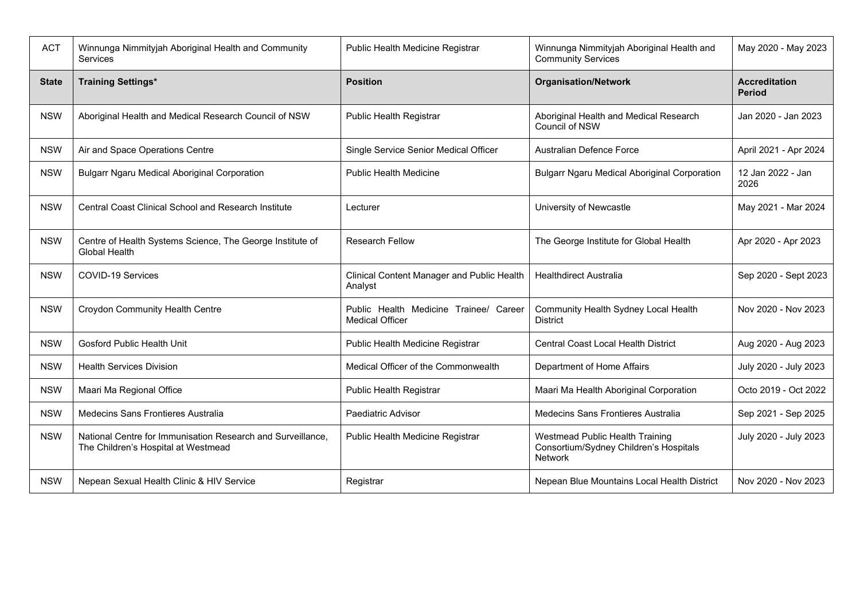| <b>ACT</b>   | Winnunga Nimmityjah Aboriginal Health and Community<br><b>Services</b>                             | Public Health Medicine Registrar                                 | Winnunga Nimmityjah Aboriginal Health and<br><b>Community Services</b>                      | May 2020 - May 2023                   |
|--------------|----------------------------------------------------------------------------------------------------|------------------------------------------------------------------|---------------------------------------------------------------------------------------------|---------------------------------------|
| <b>State</b> | <b>Training Settings*</b>                                                                          | <b>Position</b>                                                  | <b>Organisation/Network</b>                                                                 | <b>Accreditation</b><br><b>Period</b> |
| <b>NSW</b>   | Aboriginal Health and Medical Research Council of NSW                                              | <b>Public Health Registrar</b>                                   | Aboriginal Health and Medical Research<br>Council of NSW                                    | Jan 2020 - Jan 2023                   |
| <b>NSW</b>   | Air and Space Operations Centre                                                                    | Single Service Senior Medical Officer                            | <b>Australian Defence Force</b>                                                             | April 2021 - Apr 2024                 |
| <b>NSW</b>   | <b>Bulgarr Ngaru Medical Aboriginal Corporation</b>                                                | <b>Public Health Medicine</b>                                    | <b>Bulgarr Ngaru Medical Aboriginal Corporation</b>                                         | 12 Jan 2022 - Jan<br>2026             |
| <b>NSW</b>   | <b>Central Coast Clinical School and Research Institute</b>                                        | Lecturer                                                         | University of Newcastle                                                                     | May 2021 - Mar 2024                   |
| <b>NSW</b>   | Centre of Health Systems Science, The George Institute of<br>Global Health                         | <b>Research Fellow</b>                                           | The George Institute for Global Health                                                      | Apr 2020 - Apr 2023                   |
| <b>NSW</b>   | COVID-19 Services                                                                                  | Clinical Content Manager and Public Health<br>Analyst            | <b>Healthdirect Australia</b>                                                               | Sep 2020 - Sept 2023                  |
| <b>NSW</b>   | Croydon Community Health Centre                                                                    | Public Health Medicine Trainee/ Career<br><b>Medical Officer</b> | Community Health Sydney Local Health<br><b>District</b>                                     | Nov 2020 - Nov 2023                   |
| <b>NSW</b>   | <b>Gosford Public Health Unit</b>                                                                  | Public Health Medicine Registrar                                 | <b>Central Coast Local Health District</b>                                                  | Aug 2020 - Aug 2023                   |
| <b>NSW</b>   | <b>Health Services Division</b>                                                                    | Medical Officer of the Commonwealth                              | Department of Home Affairs                                                                  | July 2020 - July 2023                 |
| <b>NSW</b>   | Maari Ma Regional Office                                                                           | Public Health Registrar                                          | Maari Ma Health Aboriginal Corporation                                                      | Octo 2019 - Oct 2022                  |
| <b>NSW</b>   | <b>Medecins Sans Frontieres Australia</b>                                                          | Paediatric Advisor                                               | Medecins Sans Frontieres Australia                                                          | Sep 2021 - Sep 2025                   |
| <b>NSW</b>   | National Centre for Immunisation Research and Surveillance,<br>The Children's Hospital at Westmead | Public Health Medicine Registrar                                 | Westmead Public Health Training<br>Consortium/Sydney Children's Hospitals<br><b>Network</b> | July 2020 - July 2023                 |
| <b>NSW</b>   | Nepean Sexual Health Clinic & HIV Service                                                          | Registrar                                                        | Nepean Blue Mountains Local Health District                                                 | Nov 2020 - Nov 2023                   |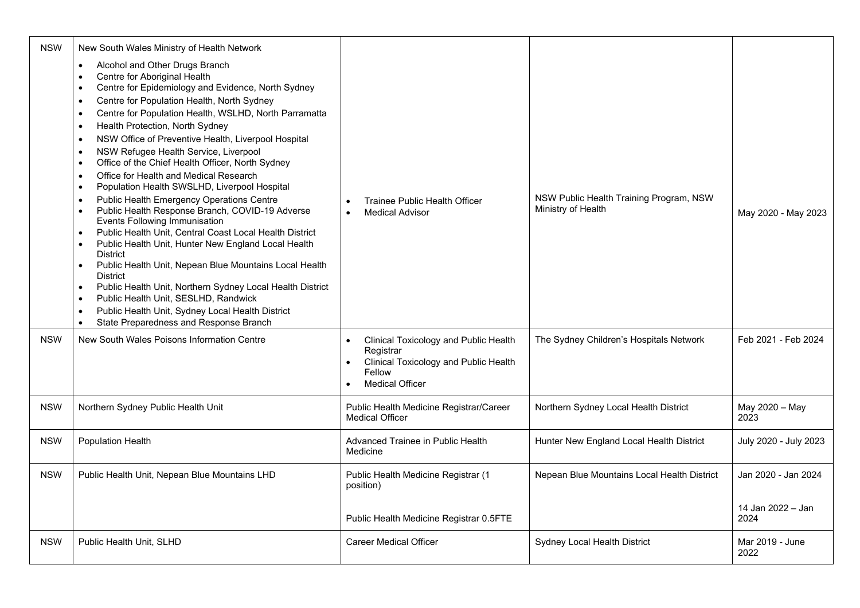| <b>NSW</b> | New South Wales Ministry of Health Network                                                                                                                                                                                                                                                                                                                                                                                                                                                                                                                                                                                                                                                                                                                                                                                                                                                                                                                                                                                                                                                                                                                                                                                     |                                                                                                                                                     |                                                               |                           |
|------------|--------------------------------------------------------------------------------------------------------------------------------------------------------------------------------------------------------------------------------------------------------------------------------------------------------------------------------------------------------------------------------------------------------------------------------------------------------------------------------------------------------------------------------------------------------------------------------------------------------------------------------------------------------------------------------------------------------------------------------------------------------------------------------------------------------------------------------------------------------------------------------------------------------------------------------------------------------------------------------------------------------------------------------------------------------------------------------------------------------------------------------------------------------------------------------------------------------------------------------|-----------------------------------------------------------------------------------------------------------------------------------------------------|---------------------------------------------------------------|---------------------------|
|            | Alcohol and Other Drugs Branch<br>$\bullet$<br>Centre for Aboriginal Health<br>Centre for Epidemiology and Evidence, North Sydney<br>$\bullet$<br>Centre for Population Health, North Sydney<br>$\bullet$<br>Centre for Population Health, WSLHD, North Parramatta<br>$\bullet$<br>Health Protection, North Sydney<br>NSW Office of Preventive Health, Liverpool Hospital<br>$\bullet$<br>NSW Refugee Health Service, Liverpool<br>$\bullet$<br>Office of the Chief Health Officer, North Sydney<br>$\bullet$<br>Office for Health and Medical Research<br>Population Health SWSLHD, Liverpool Hospital<br>$\bullet$<br>Public Health Emergency Operations Centre<br>$\bullet$<br>Public Health Response Branch, COVID-19 Adverse<br>Events Following Immunisation<br>Public Health Unit, Central Coast Local Health District<br>Public Health Unit, Hunter New England Local Health<br>$\bullet$<br><b>District</b><br>Public Health Unit, Nepean Blue Mountains Local Health<br><b>District</b><br>Public Health Unit, Northern Sydney Local Health District<br>Public Health Unit, SESLHD, Randwick<br>$\bullet$<br>Public Health Unit, Sydney Local Health District<br>$\bullet$<br>State Preparedness and Response Branch | <b>Trainee Public Health Officer</b><br>$\bullet$<br><b>Medical Advisor</b>                                                                         | NSW Public Health Training Program, NSW<br>Ministry of Health | May 2020 - May 2023       |
| <b>NSW</b> | New South Wales Poisons Information Centre                                                                                                                                                                                                                                                                                                                                                                                                                                                                                                                                                                                                                                                                                                                                                                                                                                                                                                                                                                                                                                                                                                                                                                                     | <b>Clinical Toxicology and Public Health</b><br>Registrar<br>Clinical Toxicology and Public Health<br>Fellow<br><b>Medical Officer</b><br>$\bullet$ | The Sydney Children's Hospitals Network                       | Feb 2021 - Feb 2024       |
| <b>NSW</b> | Northern Sydney Public Health Unit                                                                                                                                                                                                                                                                                                                                                                                                                                                                                                                                                                                                                                                                                                                                                                                                                                                                                                                                                                                                                                                                                                                                                                                             | Public Health Medicine Registrar/Career<br><b>Medical Officer</b>                                                                                   | Northern Sydney Local Health District                         | May 2020 - May<br>2023    |
| <b>NSW</b> | Population Health                                                                                                                                                                                                                                                                                                                                                                                                                                                                                                                                                                                                                                                                                                                                                                                                                                                                                                                                                                                                                                                                                                                                                                                                              | Advanced Trainee in Public Health<br>Medicine                                                                                                       | Hunter New England Local Health District                      | July 2020 - July 2023     |
| <b>NSW</b> | Public Health Unit, Nepean Blue Mountains LHD                                                                                                                                                                                                                                                                                                                                                                                                                                                                                                                                                                                                                                                                                                                                                                                                                                                                                                                                                                                                                                                                                                                                                                                  | Public Health Medicine Registrar (1<br>position)                                                                                                    | Nepean Blue Mountains Local Health District                   | Jan 2020 - Jan 2024       |
|            |                                                                                                                                                                                                                                                                                                                                                                                                                                                                                                                                                                                                                                                                                                                                                                                                                                                                                                                                                                                                                                                                                                                                                                                                                                | Public Health Medicine Registrar 0.5FTE                                                                                                             |                                                               | 14 Jan 2022 - Jan<br>2024 |
| <b>NSW</b> | Public Health Unit, SLHD                                                                                                                                                                                                                                                                                                                                                                                                                                                                                                                                                                                                                                                                                                                                                                                                                                                                                                                                                                                                                                                                                                                                                                                                       | <b>Career Medical Officer</b>                                                                                                                       | Sydney Local Health District                                  | Mar 2019 - June<br>2022   |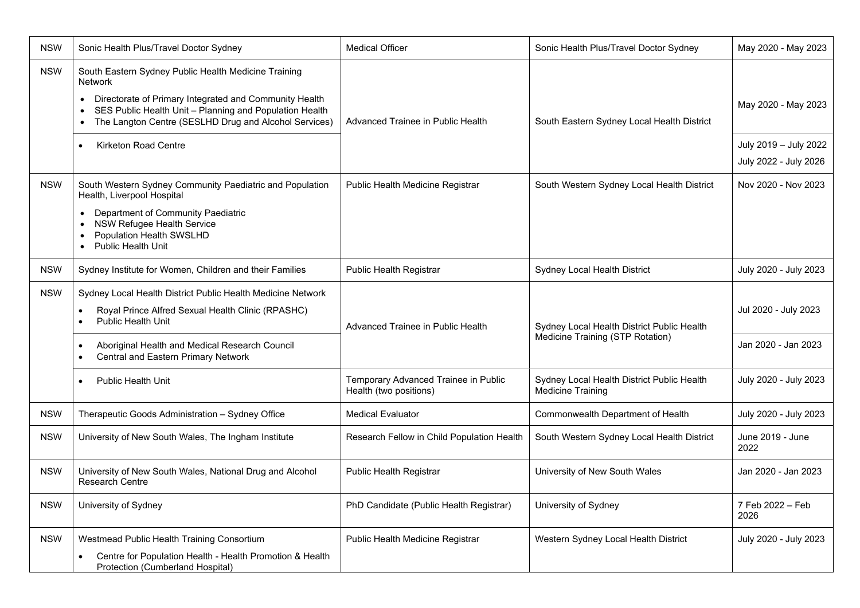| <b>NSW</b>                                                                                                                                                                                                                                           | Sonic Health Plus/Travel Doctor Sydney                                                                                                                                                                                                                            | <b>Medical Officer</b>                                                         | Sonic Health Plus/Travel Doctor Sydney      | May 2020 - May 2023                            |
|------------------------------------------------------------------------------------------------------------------------------------------------------------------------------------------------------------------------------------------------------|-------------------------------------------------------------------------------------------------------------------------------------------------------------------------------------------------------------------------------------------------------------------|--------------------------------------------------------------------------------|---------------------------------------------|------------------------------------------------|
| <b>NSW</b>                                                                                                                                                                                                                                           | South Eastern Sydney Public Health Medicine Training<br><b>Network</b><br>Directorate of Primary Integrated and Community Health<br>SES Public Health Unit - Planning and Population Health<br>$\bullet$<br>The Langton Centre (SESLHD Drug and Alcohol Services) | Advanced Trainee in Public Health                                              | South Eastern Sydney Local Health District  | May 2020 - May 2023                            |
|                                                                                                                                                                                                                                                      | <b>Kirketon Road Centre</b><br>$\bullet$                                                                                                                                                                                                                          |                                                                                |                                             | July 2019 - July 2022<br>July 2022 - July 2026 |
| <b>NSW</b>                                                                                                                                                                                                                                           | South Western Sydney Community Paediatric and Population<br>Health, Liverpool Hospital<br>Department of Community Paediatric<br><b>NSW Refugee Health Service</b><br>Population Health SWSLHD<br><b>Public Health Unit</b><br>$\bullet$                           | Public Health Medicine Registrar                                               | South Western Sydney Local Health District  | Nov 2020 - Nov 2023                            |
| <b>NSW</b>                                                                                                                                                                                                                                           | Sydney Institute for Women, Children and their Families                                                                                                                                                                                                           | Public Health Registrar                                                        | Sydney Local Health District                | July 2020 - July 2023                          |
| <b>NSW</b><br>Sydney Local Health District Public Health Medicine Network<br>Royal Prince Alfred Sexual Health Clinic (RPASHC)<br>$\bullet$<br><b>Public Health Unit</b><br>$\bullet$<br>Aboriginal Health and Medical Research Council<br>$\bullet$ | Advanced Trainee in Public Health                                                                                                                                                                                                                                 | Sydney Local Health District Public Health<br>Medicine Training (STP Rotation) | Jul 2020 - July 2023<br>Jan 2020 - Jan 2023 |                                                |
|                                                                                                                                                                                                                                                      | Central and Eastern Primary Network<br>$\bullet$                                                                                                                                                                                                                  | Temporary Advanced Trainee in Public                                           | Sydney Local Health District Public Health  | July 2020 - July 2023                          |
|                                                                                                                                                                                                                                                      | <b>Public Health Unit</b>                                                                                                                                                                                                                                         | Health (two positions)                                                         | <b>Medicine Training</b>                    |                                                |
| <b>NSW</b>                                                                                                                                                                                                                                           | Therapeutic Goods Administration - Sydney Office                                                                                                                                                                                                                  | <b>Medical Evaluator</b>                                                       | Commonwealth Department of Health           | July 2020 - July 2023                          |
| <b>NSW</b>                                                                                                                                                                                                                                           | University of New South Wales, The Ingham Institute                                                                                                                                                                                                               | Research Fellow in Child Population Health                                     | South Western Sydney Local Health District  | June 2019 - June<br>2022                       |
| <b>NSW</b>                                                                                                                                                                                                                                           | University of New South Wales, National Drug and Alcohol<br>Research Centre                                                                                                                                                                                       | <b>Public Health Registrar</b>                                                 | University of New South Wales               | Jan 2020 - Jan 2023                            |
| <b>NSW</b>                                                                                                                                                                                                                                           | University of Sydney                                                                                                                                                                                                                                              | PhD Candidate (Public Health Registrar)                                        | University of Sydney                        | 7 Feb 2022 - Feb<br>2026                       |
| <b>NSW</b>                                                                                                                                                                                                                                           | Westmead Public Health Training Consortium<br>Centre for Population Health - Health Promotion & Health<br>$\bullet$<br>Protection (Cumberland Hospital)                                                                                                           | Public Health Medicine Registrar                                               | Western Sydney Local Health District        | July 2020 - July 2023                          |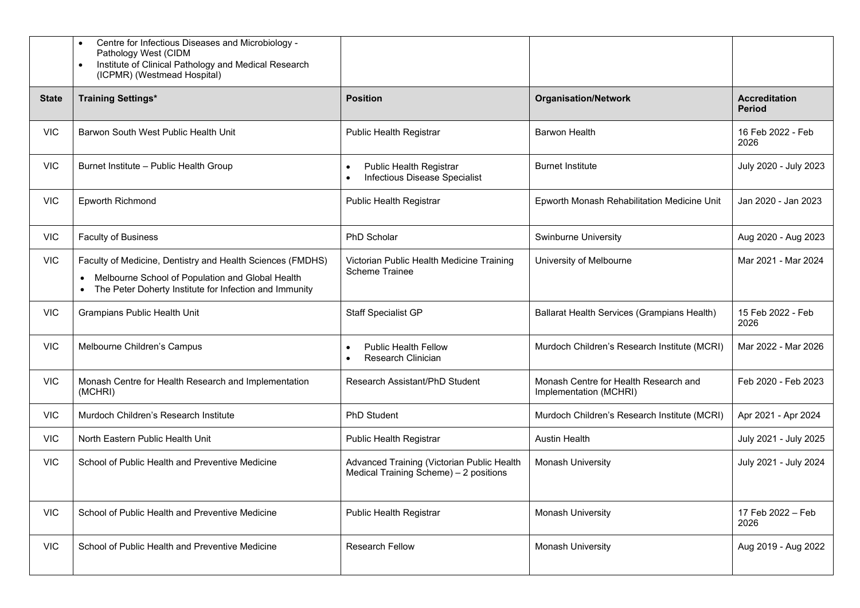|              | Centre for Infectious Diseases and Microbiology -<br>$\bullet$<br>Pathology West (CIDM<br>Institute of Clinical Pathology and Medical Research<br>$\bullet$<br>(ICPMR) (Westmead Hospital)         |                                                                                                  |                                                                 |                                       |
|--------------|----------------------------------------------------------------------------------------------------------------------------------------------------------------------------------------------------|--------------------------------------------------------------------------------------------------|-----------------------------------------------------------------|---------------------------------------|
| <b>State</b> | <b>Training Settings*</b>                                                                                                                                                                          | <b>Position</b>                                                                                  | <b>Organisation/Network</b>                                     | <b>Accreditation</b><br><b>Period</b> |
| <b>VIC</b>   | Barwon South West Public Health Unit                                                                                                                                                               | <b>Public Health Registrar</b>                                                                   | <b>Barwon Health</b>                                            | 16 Feb 2022 - Feb<br>2026             |
| <b>VIC</b>   | Burnet Institute - Public Health Group                                                                                                                                                             | <b>Public Health Registrar</b><br>$\bullet$<br><b>Infectious Disease Specialist</b><br>$\bullet$ | <b>Burnet Institute</b>                                         | July 2020 - July 2023                 |
| <b>VIC</b>   | Epworth Richmond                                                                                                                                                                                   | Public Health Registrar                                                                          | Epworth Monash Rehabilitation Medicine Unit                     | Jan 2020 - Jan 2023                   |
| <b>VIC</b>   | <b>Faculty of Business</b>                                                                                                                                                                         | PhD Scholar                                                                                      | Swinburne University                                            | Aug 2020 - Aug 2023                   |
| <b>VIC</b>   | Faculty of Medicine, Dentistry and Health Sciences (FMDHS)<br>Melbourne School of Population and Global Health<br>$\bullet$<br>The Peter Doherty Institute for Infection and Immunity<br>$\bullet$ | Victorian Public Health Medicine Training<br><b>Scheme Trainee</b>                               | University of Melbourne                                         | Mar 2021 - Mar 2024                   |
| <b>VIC</b>   | Grampians Public Health Unit                                                                                                                                                                       | <b>Staff Specialist GP</b>                                                                       | Ballarat Health Services (Grampians Health)                     | 15 Feb 2022 - Feb<br>2026             |
| <b>VIC</b>   | Melbourne Children's Campus                                                                                                                                                                        | <b>Public Health Fellow</b><br>$\bullet$<br>Research Clinician<br>$\bullet$                      | Murdoch Children's Research Institute (MCRI)                    | Mar 2022 - Mar 2026                   |
| <b>VIC</b>   | Monash Centre for Health Research and Implementation<br>(MCHRI)                                                                                                                                    | Research Assistant/PhD Student                                                                   | Monash Centre for Health Research and<br>Implementation (MCHRI) | Feb 2020 - Feb 2023                   |
| <b>VIC</b>   | Murdoch Children's Research Institute                                                                                                                                                              | PhD Student                                                                                      | Murdoch Children's Research Institute (MCRI)                    | Apr 2021 - Apr 2024                   |
| <b>VIC</b>   | North Eastern Public Health Unit                                                                                                                                                                   | <b>Public Health Registrar</b>                                                                   | <b>Austin Health</b>                                            | July 2021 - July 2025                 |
| <b>VIC</b>   | School of Public Health and Preventive Medicine                                                                                                                                                    | Advanced Training (Victorian Public Health<br>Medical Training Scheme) - 2 positions             | Monash University                                               | July 2021 - July 2024                 |
| <b>VIC</b>   | School of Public Health and Preventive Medicine                                                                                                                                                    | Public Health Registrar                                                                          | Monash University                                               | 17 Feb 2022 - Feb<br>2026             |
| <b>VIC</b>   | School of Public Health and Preventive Medicine                                                                                                                                                    | <b>Research Fellow</b>                                                                           | Monash University                                               | Aug 2019 - Aug 2022                   |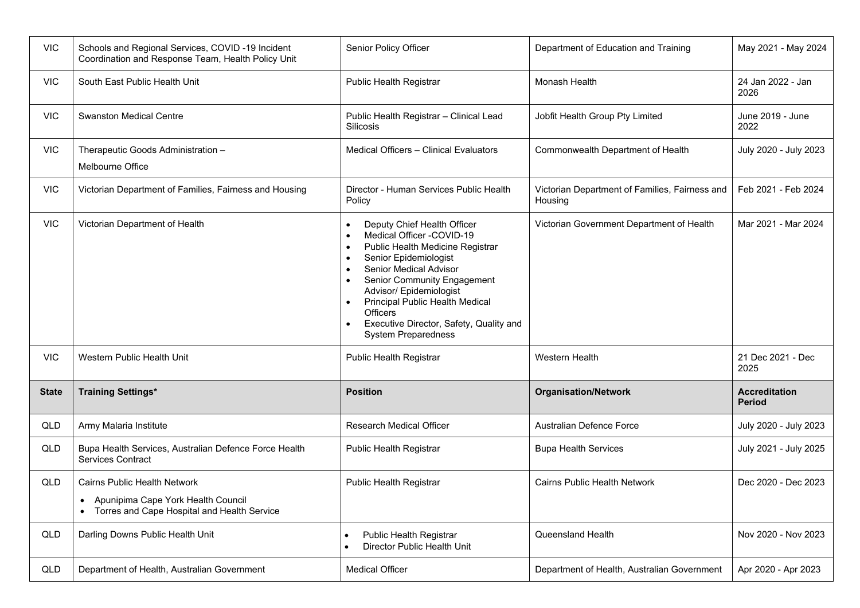| <b>VIC</b>   | Schools and Regional Services, COVID-19 Incident<br>Coordination and Response Team, Health Policy Unit                         | Senior Policy Officer                                                                                                                                                                                                                                                                                                                                                              | Department of Education and Training                      | May 2021 - May 2024                   |
|--------------|--------------------------------------------------------------------------------------------------------------------------------|------------------------------------------------------------------------------------------------------------------------------------------------------------------------------------------------------------------------------------------------------------------------------------------------------------------------------------------------------------------------------------|-----------------------------------------------------------|---------------------------------------|
| <b>VIC</b>   | South East Public Health Unit                                                                                                  | <b>Public Health Registrar</b>                                                                                                                                                                                                                                                                                                                                                     | Monash Health                                             | 24 Jan 2022 - Jan<br>2026             |
| <b>VIC</b>   | <b>Swanston Medical Centre</b>                                                                                                 | Public Health Registrar - Clinical Lead<br>Silicosis                                                                                                                                                                                                                                                                                                                               | Jobfit Health Group Pty Limited                           | June 2019 - June<br>2022              |
| <b>VIC</b>   | Therapeutic Goods Administration -<br>Melbourne Office                                                                         | Medical Officers - Clinical Evaluators                                                                                                                                                                                                                                                                                                                                             | Commonwealth Department of Health                         | July 2020 - July 2023                 |
| <b>VIC</b>   | Victorian Department of Families, Fairness and Housing                                                                         | Director - Human Services Public Health<br>Policy                                                                                                                                                                                                                                                                                                                                  | Victorian Department of Families, Fairness and<br>Housing | Feb 2021 - Feb 2024                   |
| <b>VIC</b>   | Victorian Department of Health                                                                                                 | Deputy Chief Health Officer<br>$\bullet$<br>Medical Officer -COVID-19<br>$\bullet$<br>Public Health Medicine Registrar<br>$\bullet$<br>Senior Epidemiologist<br>$\bullet$<br>Senior Medical Advisor<br>$\bullet$<br>Senior Community Engagement<br>Advisor/ Epidemiologist<br><b>Principal Public Health Medical</b><br><b>Officers</b><br>Executive Director, Safety, Quality and | Victorian Government Department of Health                 | Mar 2021 - Mar 2024                   |
|              |                                                                                                                                | <b>System Preparedness</b>                                                                                                                                                                                                                                                                                                                                                         |                                                           |                                       |
| <b>VIC</b>   | Western Public Health Unit                                                                                                     | <b>Public Health Registrar</b>                                                                                                                                                                                                                                                                                                                                                     | <b>Western Health</b>                                     | 21 Dec 2021 - Dec<br>2025             |
| <b>State</b> | <b>Training Settings*</b>                                                                                                      | <b>Position</b>                                                                                                                                                                                                                                                                                                                                                                    | <b>Organisation/Network</b>                               | <b>Accreditation</b><br><b>Period</b> |
| QLD          | Army Malaria Institute                                                                                                         | <b>Research Medical Officer</b>                                                                                                                                                                                                                                                                                                                                                    | <b>Australian Defence Force</b>                           | July 2020 - July 2023                 |
| QLD          | Bupa Health Services, Australian Defence Force Health<br><b>Services Contract</b>                                              | <b>Public Health Registrar</b>                                                                                                                                                                                                                                                                                                                                                     | <b>Bupa Health Services</b>                               | July 2021 - July 2025                 |
| QLD          | Cairns Public Health Network<br>Apunipima Cape York Health Council<br>Torres and Cape Hospital and Health Service<br>$\bullet$ | <b>Public Health Registrar</b>                                                                                                                                                                                                                                                                                                                                                     | <b>Cairns Public Health Network</b>                       | Dec 2020 - Dec 2023                   |
| QLD          | Darling Downs Public Health Unit                                                                                               | <b>Public Health Registrar</b><br>$\bullet$<br>Director Public Health Unit<br>$\bullet$                                                                                                                                                                                                                                                                                            | Queensland Health                                         | Nov 2020 - Nov 2023                   |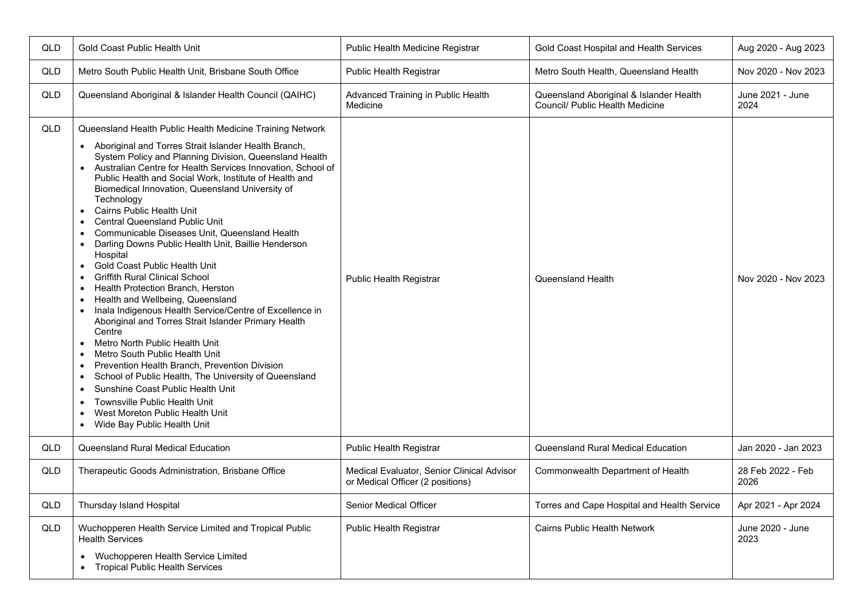| QLD | Gold Coast Public Health Unit                                                                                                                                                                                                                                                                                                                                                                                                                                                                                                                                                                                                                                                                                                                                                                                                                                                                                                                                                                                                                                                                                                                                                                                                                                                                             | Public Health Medicine Registrar                                               | Gold Coast Hospital and Health Services                                    | Aug 2020 - Aug 2023       |
|-----|-----------------------------------------------------------------------------------------------------------------------------------------------------------------------------------------------------------------------------------------------------------------------------------------------------------------------------------------------------------------------------------------------------------------------------------------------------------------------------------------------------------------------------------------------------------------------------------------------------------------------------------------------------------------------------------------------------------------------------------------------------------------------------------------------------------------------------------------------------------------------------------------------------------------------------------------------------------------------------------------------------------------------------------------------------------------------------------------------------------------------------------------------------------------------------------------------------------------------------------------------------------------------------------------------------------|--------------------------------------------------------------------------------|----------------------------------------------------------------------------|---------------------------|
| QLD | Metro South Public Health Unit, Brisbane South Office                                                                                                                                                                                                                                                                                                                                                                                                                                                                                                                                                                                                                                                                                                                                                                                                                                                                                                                                                                                                                                                                                                                                                                                                                                                     | Public Health Registrar                                                        | Metro South Health, Queensland Health                                      | Nov 2020 - Nov 2023       |
| QLD | Queensland Aboriginal & Islander Health Council (QAIHC)                                                                                                                                                                                                                                                                                                                                                                                                                                                                                                                                                                                                                                                                                                                                                                                                                                                                                                                                                                                                                                                                                                                                                                                                                                                   | Advanced Training in Public Health<br>Medicine                                 | Queensland Aboriginal & Islander Health<br>Council/ Public Health Medicine | June 2021 - June<br>2024  |
| QLD | Queensland Health Public Health Medicine Training Network<br>• Aboriginal and Torres Strait Islander Health Branch,<br>System Policy and Planning Division, Queensland Health<br>Australian Centre for Health Services Innovation, School of<br>Public Health and Social Work, Institute of Health and<br>Biomedical Innovation, Queensland University of<br>Technology<br>Cairns Public Health Unit<br>$\bullet$<br><b>Central Queensland Public Unit</b><br>Communicable Diseases Unit, Queensland Health<br>Darling Downs Public Health Unit, Baillie Henderson<br>$\bullet$<br>Hospital<br>Gold Coast Public Health Unit<br>$\bullet$<br><b>Griffith Rural Clinical School</b><br>Health Protection Branch, Herston<br>$\bullet$<br>Health and Wellbeing, Queensland<br>$\bullet$<br>Inala Indigenous Health Service/Centre of Excellence in<br>Aboriginal and Torres Strait Islander Primary Health<br>Centre<br>Metro North Public Health Unit<br>Metro South Public Health Unit<br>$\bullet$<br>Prevention Health Branch, Prevention Division<br>$\bullet$<br>School of Public Health, The University of Queensland<br>$\bullet$<br>Sunshine Coast Public Health Unit<br>$\bullet$<br>Townsville Public Health Unit<br>$\bullet$<br>West Moreton Public Health Unit<br>Wide Bay Public Health Unit | Public Health Registrar                                                        | Queensland Health                                                          | Nov 2020 - Nov 2023       |
| QLD | Queensland Rural Medical Education                                                                                                                                                                                                                                                                                                                                                                                                                                                                                                                                                                                                                                                                                                                                                                                                                                                                                                                                                                                                                                                                                                                                                                                                                                                                        | <b>Public Health Registrar</b>                                                 | Queensland Rural Medical Education                                         | Jan 2020 - Jan 2023       |
| QLD | Therapeutic Goods Administration, Brisbane Office                                                                                                                                                                                                                                                                                                                                                                                                                                                                                                                                                                                                                                                                                                                                                                                                                                                                                                                                                                                                                                                                                                                                                                                                                                                         | Medical Evaluator, Senior Clinical Advisor<br>or Medical Officer (2 positions) | Commonwealth Department of Health                                          | 28 Feb 2022 - Feb<br>2026 |
| QLD | Thursday Island Hospital                                                                                                                                                                                                                                                                                                                                                                                                                                                                                                                                                                                                                                                                                                                                                                                                                                                                                                                                                                                                                                                                                                                                                                                                                                                                                  | Senior Medical Officer                                                         | Torres and Cape Hospital and Health Service                                | Apr 2021 - Apr 2024       |
| QLD | Wuchopperen Health Service Limited and Tropical Public<br><b>Health Services</b><br>Wuchopperen Health Service Limited<br><b>Tropical Public Health Services</b>                                                                                                                                                                                                                                                                                                                                                                                                                                                                                                                                                                                                                                                                                                                                                                                                                                                                                                                                                                                                                                                                                                                                          | Public Health Registrar                                                        | Cairns Public Health Network                                               | June 2020 - June<br>2023  |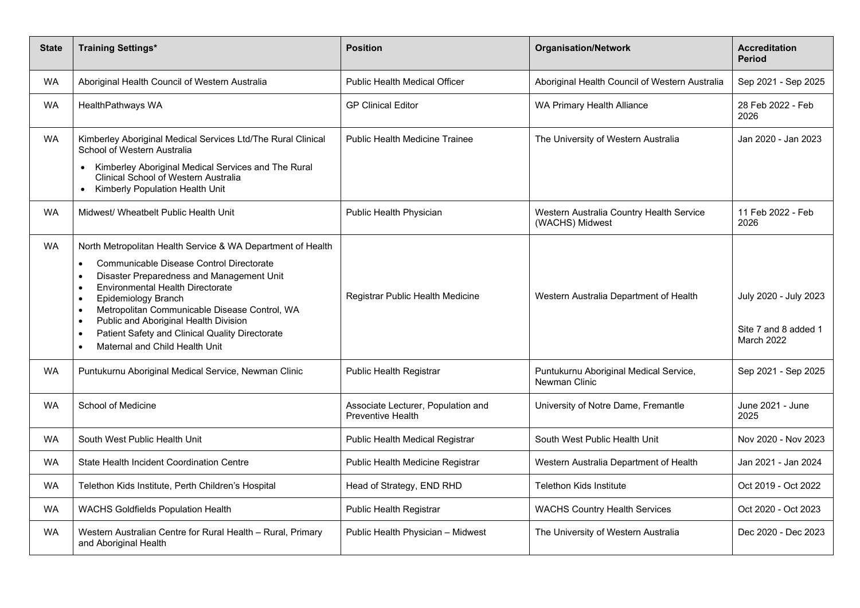| <b>State</b> | <b>Training Settings*</b>                                                                                                                                                                                                                                                                                                                                                                                                                                                                        | <b>Position</b>                                                | <b>Organisation/Network</b>                                 | <b>Accreditation</b><br><b>Period</b>                              |
|--------------|--------------------------------------------------------------------------------------------------------------------------------------------------------------------------------------------------------------------------------------------------------------------------------------------------------------------------------------------------------------------------------------------------------------------------------------------------------------------------------------------------|----------------------------------------------------------------|-------------------------------------------------------------|--------------------------------------------------------------------|
| <b>WA</b>    | Aboriginal Health Council of Western Australia                                                                                                                                                                                                                                                                                                                                                                                                                                                   | Public Health Medical Officer                                  | Aboriginal Health Council of Western Australia              | Sep 2021 - Sep 2025                                                |
| <b>WA</b>    | HealthPathways WA                                                                                                                                                                                                                                                                                                                                                                                                                                                                                | <b>GP Clinical Editor</b>                                      | WA Primary Health Alliance                                  | 28 Feb 2022 - Feb<br>2026                                          |
| <b>WA</b>    | Kimberley Aboriginal Medical Services Ltd/The Rural Clinical<br>School of Western Australia                                                                                                                                                                                                                                                                                                                                                                                                      | Public Health Medicine Trainee                                 | The University of Western Australia                         | Jan 2020 - Jan 2023                                                |
|              | Kimberley Aboriginal Medical Services and The Rural<br>$\bullet$<br>Clinical School of Western Australia<br>Kimberly Population Health Unit                                                                                                                                                                                                                                                                                                                                                      |                                                                |                                                             |                                                                    |
| <b>WA</b>    | Midwest/ Wheatbelt Public Health Unit                                                                                                                                                                                                                                                                                                                                                                                                                                                            | Public Health Physician                                        | Western Australia Country Health Service<br>(WACHS) Midwest | 11 Feb 2022 - Feb<br>2026                                          |
| <b>WA</b>    | North Metropolitan Health Service & WA Department of Health<br>Communicable Disease Control Directorate<br>$\bullet$<br>Disaster Preparedness and Management Unit<br>$\bullet$<br><b>Environmental Health Directorate</b><br>$\bullet$<br>Epidemiology Branch<br>Metropolitan Communicable Disease Control, WA<br>$\bullet$<br>Public and Aboriginal Health Division<br>$\bullet$<br>Patient Safety and Clinical Quality Directorate<br>$\bullet$<br>Maternal and Child Health Unit<br>$\bullet$ | Registrar Public Health Medicine                               | Western Australia Department of Health                      | July 2020 - July 2023<br>Site 7 and 8 added 1<br><b>March 2022</b> |
| <b>WA</b>    | Puntukurnu Aboriginal Medical Service, Newman Clinic                                                                                                                                                                                                                                                                                                                                                                                                                                             | Public Health Registrar                                        | Puntukurnu Aboriginal Medical Service,<br>Newman Clinic     | Sep 2021 - Sep 2025                                                |
| <b>WA</b>    | School of Medicine                                                                                                                                                                                                                                                                                                                                                                                                                                                                               | Associate Lecturer, Population and<br><b>Preventive Health</b> | University of Notre Dame, Fremantle                         | June 2021 - June<br>2025                                           |
| <b>WA</b>    | South West Public Health Unit                                                                                                                                                                                                                                                                                                                                                                                                                                                                    | Public Health Medical Registrar                                | South West Public Health Unit                               | Nov 2020 - Nov 2023                                                |
| <b>WA</b>    | State Health Incident Coordination Centre                                                                                                                                                                                                                                                                                                                                                                                                                                                        | Public Health Medicine Registrar                               | Western Australia Department of Health                      | Jan 2021 - Jan 2024                                                |
| <b>WA</b>    | Telethon Kids Institute, Perth Children's Hospital                                                                                                                                                                                                                                                                                                                                                                                                                                               | Head of Strategy, END RHD                                      | <b>Telethon Kids Institute</b>                              | Oct 2019 - Oct 2022                                                |
| <b>WA</b>    | WACHS Goldfields Population Health                                                                                                                                                                                                                                                                                                                                                                                                                                                               | Public Health Registrar                                        | <b>WACHS Country Health Services</b>                        | Oct 2020 - Oct 2023                                                |
| <b>WA</b>    | Western Australian Centre for Rural Health - Rural, Primary<br>and Aboriginal Health                                                                                                                                                                                                                                                                                                                                                                                                             | Public Health Physician - Midwest                              | The University of Western Australia                         | Dec 2020 - Dec 2023                                                |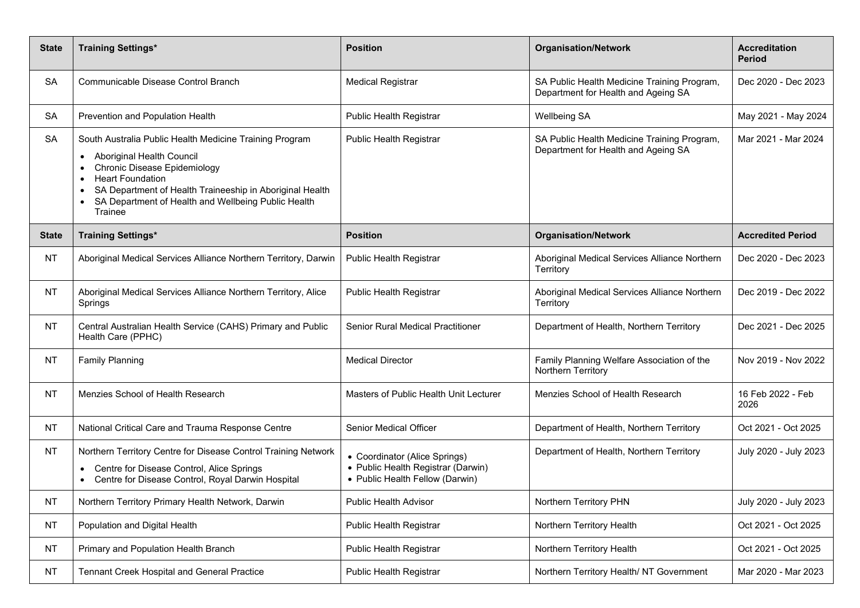| <b>State</b> | <b>Training Settings*</b>                                                                                                                                                                                                                                                                                                   | <b>Position</b>                                                                                        | <b>Organisation/Network</b>                                                        | <b>Accreditation</b><br><b>Period</b> |
|--------------|-----------------------------------------------------------------------------------------------------------------------------------------------------------------------------------------------------------------------------------------------------------------------------------------------------------------------------|--------------------------------------------------------------------------------------------------------|------------------------------------------------------------------------------------|---------------------------------------|
| <b>SA</b>    | Communicable Disease Control Branch                                                                                                                                                                                                                                                                                         | <b>Medical Registrar</b>                                                                               | SA Public Health Medicine Training Program,<br>Department for Health and Ageing SA | Dec 2020 - Dec 2023                   |
| <b>SA</b>    | Prevention and Population Health                                                                                                                                                                                                                                                                                            | Public Health Registrar                                                                                | <b>Wellbeing SA</b>                                                                | May 2021 - May 2024                   |
| <b>SA</b>    | South Australia Public Health Medicine Training Program<br>Aboriginal Health Council<br>$\bullet$<br><b>Chronic Disease Epidemiology</b><br><b>Heart Foundation</b><br>$\bullet$<br>SA Department of Health Traineeship in Aboriginal Health<br>$\bullet$<br>SA Department of Health and Wellbeing Public Health<br>Trainee | Public Health Registrar                                                                                | SA Public Health Medicine Training Program,<br>Department for Health and Ageing SA | Mar 2021 - Mar 2024                   |
| <b>State</b> | <b>Training Settings*</b>                                                                                                                                                                                                                                                                                                   | <b>Position</b>                                                                                        | <b>Organisation/Network</b>                                                        | <b>Accredited Period</b>              |
| <b>NT</b>    | Aboriginal Medical Services Alliance Northern Territory, Darwin                                                                                                                                                                                                                                                             | Public Health Registrar                                                                                | Aboriginal Medical Services Alliance Northern<br>Territory                         | Dec 2020 - Dec 2023                   |
| <b>NT</b>    | Aboriginal Medical Services Alliance Northern Territory, Alice<br>Springs                                                                                                                                                                                                                                                   | Public Health Registrar                                                                                | Aboriginal Medical Services Alliance Northern<br>Territory                         | Dec 2019 - Dec 2022                   |
| <b>NT</b>    | Central Australian Health Service (CAHS) Primary and Public<br>Health Care (PPHC)                                                                                                                                                                                                                                           | Senior Rural Medical Practitioner                                                                      | Department of Health, Northern Territory                                           | Dec 2021 - Dec 2025                   |
| <b>NT</b>    | <b>Family Planning</b>                                                                                                                                                                                                                                                                                                      | <b>Medical Director</b>                                                                                | Family Planning Welfare Association of the<br>Northern Territory                   | Nov 2019 - Nov 2022                   |
| <b>NT</b>    | Menzies School of Health Research                                                                                                                                                                                                                                                                                           | Masters of Public Health Unit Lecturer                                                                 | Menzies School of Health Research                                                  | 16 Feb 2022 - Feb<br>2026             |
| <b>NT</b>    | National Critical Care and Trauma Response Centre                                                                                                                                                                                                                                                                           | <b>Senior Medical Officer</b>                                                                          | Department of Health, Northern Territory                                           | Oct 2021 - Oct 2025                   |
| <b>NT</b>    | Northern Territory Centre for Disease Control Training Network<br>Centre for Disease Control, Alice Springs<br>Centre for Disease Control, Royal Darwin Hospital                                                                                                                                                            | • Coordinator (Alice Springs)<br>• Public Health Registrar (Darwin)<br>• Public Health Fellow (Darwin) | Department of Health, Northern Territory                                           | July 2020 - July 2023                 |
| <b>NT</b>    | Northern Territory Primary Health Network, Darwin                                                                                                                                                                                                                                                                           | <b>Public Health Advisor</b>                                                                           | Northern Territory PHN                                                             | July 2020 - July 2023                 |
| <b>NT</b>    | Population and Digital Health                                                                                                                                                                                                                                                                                               | Public Health Registrar                                                                                | Northern Territory Health                                                          | Oct 2021 - Oct 2025                   |
| <b>NT</b>    | Primary and Population Health Branch                                                                                                                                                                                                                                                                                        | Public Health Registrar                                                                                | Northern Territory Health                                                          | Oct 2021 - Oct 2025                   |
| <b>NT</b>    | Tennant Creek Hospital and General Practice                                                                                                                                                                                                                                                                                 | Public Health Registrar                                                                                | Northern Territory Health/ NT Government                                           | Mar 2020 - Mar 2023                   |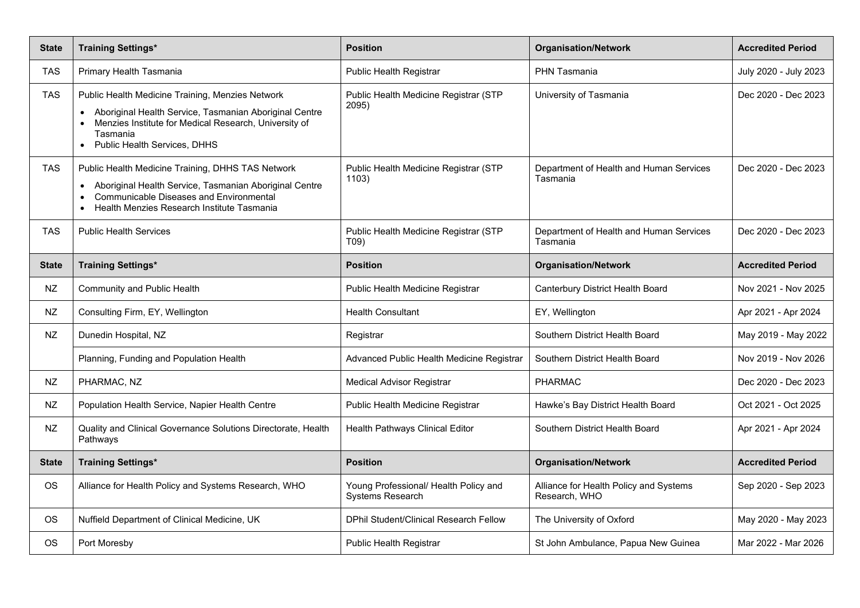| <b>State</b> | <b>Training Settings*</b>                                                                                                                                                                                                                 | <b>Position</b>                                                  | <b>Organisation/Network</b>                             | <b>Accredited Period</b> |
|--------------|-------------------------------------------------------------------------------------------------------------------------------------------------------------------------------------------------------------------------------------------|------------------------------------------------------------------|---------------------------------------------------------|--------------------------|
| TAS          | Primary Health Tasmania                                                                                                                                                                                                                   | Public Health Registrar                                          | <b>PHN Tasmania</b>                                     | July 2020 - July 2023    |
| TAS          | Public Health Medicine Training, Menzies Network<br>Aboriginal Health Service, Tasmanian Aboriginal Centre<br>$\bullet$<br>Menzies Institute for Medical Research, University of<br>Tasmania<br>Public Health Services, DHHS<br>$\bullet$ | Public Health Medicine Registrar (STP<br>2095)                   | University of Tasmania                                  | Dec 2020 - Dec 2023      |
| <b>TAS</b>   | Public Health Medicine Training, DHHS TAS Network<br>Aboriginal Health Service, Tasmanian Aboriginal Centre<br>$\bullet$<br>Communicable Diseases and Environmental<br>Health Menzies Research Institute Tasmania                         | Public Health Medicine Registrar (STP<br>1103)                   | Department of Health and Human Services<br>Tasmania     | Dec 2020 - Dec 2023      |
| <b>TAS</b>   | <b>Public Health Services</b>                                                                                                                                                                                                             | Public Health Medicine Registrar (STP<br>T09)                    | Department of Health and Human Services<br>Tasmania     | Dec 2020 - Dec 2023      |
| <b>State</b> | <b>Training Settings*</b>                                                                                                                                                                                                                 | <b>Position</b>                                                  | <b>Organisation/Network</b>                             | <b>Accredited Period</b> |
| NZ           | Community and Public Health                                                                                                                                                                                                               | Public Health Medicine Registrar                                 | Canterbury District Health Board                        | Nov 2021 - Nov 2025      |
| <b>NZ</b>    | Consulting Firm, EY, Wellington                                                                                                                                                                                                           | <b>Health Consultant</b>                                         | EY, Wellington                                          | Apr 2021 - Apr 2024      |
| <b>NZ</b>    | Dunedin Hospital, NZ                                                                                                                                                                                                                      | Registrar                                                        | Southern District Health Board                          | May 2019 - May 2022      |
|              | Planning, Funding and Population Health                                                                                                                                                                                                   | Advanced Public Health Medicine Registrar                        | Southern District Health Board                          | Nov 2019 - Nov 2026      |
| <b>NZ</b>    | PHARMAC, NZ                                                                                                                                                                                                                               | <b>Medical Advisor Registrar</b>                                 | <b>PHARMAC</b>                                          | Dec 2020 - Dec 2023      |
| <b>NZ</b>    | Population Health Service, Napier Health Centre                                                                                                                                                                                           | Public Health Medicine Registrar                                 | Hawke's Bay District Health Board                       | Oct 2021 - Oct 2025      |
| <b>NZ</b>    | Quality and Clinical Governance Solutions Directorate, Health<br>Pathways                                                                                                                                                                 | Health Pathways Clinical Editor                                  | Southern District Health Board                          | Apr 2021 - Apr 2024      |
| <b>State</b> | <b>Training Settings*</b>                                                                                                                                                                                                                 | <b>Position</b>                                                  | <b>Organisation/Network</b>                             | <b>Accredited Period</b> |
| <b>OS</b>    | Alliance for Health Policy and Systems Research, WHO                                                                                                                                                                                      | Young Professional/ Health Policy and<br><b>Systems Research</b> | Alliance for Health Policy and Systems<br>Research, WHO | Sep 2020 - Sep 2023      |
| <b>OS</b>    | Nuffield Department of Clinical Medicine, UK                                                                                                                                                                                              | <b>DPhil Student/Clinical Research Fellow</b>                    | The University of Oxford                                | May 2020 - May 2023      |
| <b>OS</b>    | Port Moresby                                                                                                                                                                                                                              | <b>Public Health Registrar</b>                                   | St John Ambulance, Papua New Guinea                     | Mar 2022 - Mar 2026      |